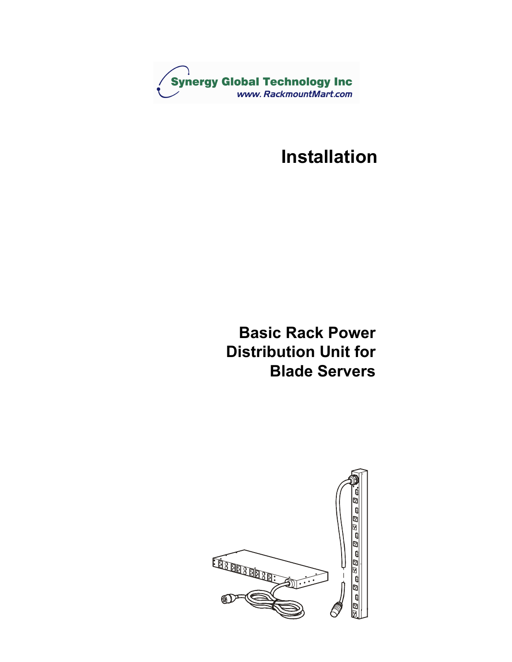

# **Installation**

# **Basic Rack Power Distribution Unit for Blade Servers**

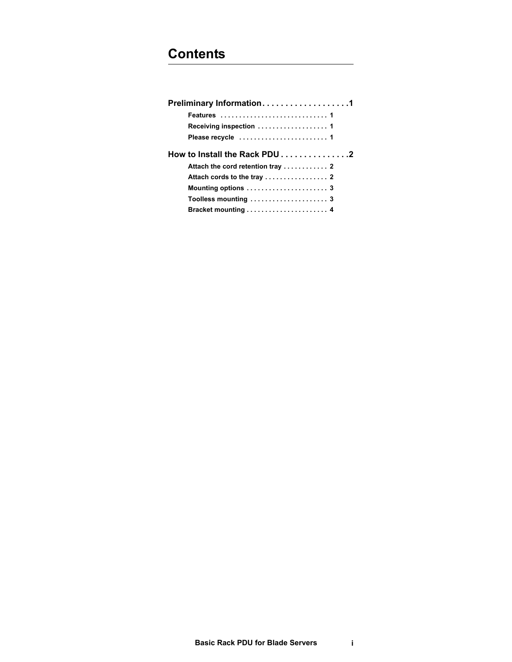| Preliminary Information1      |
|-------------------------------|
| Features  1                   |
| Receiving inspection  1       |
|                               |
| How to Install the Rack PDU 2 |
|                               |
|                               |
|                               |
| Toolless mounting  3          |
|                               |
|                               |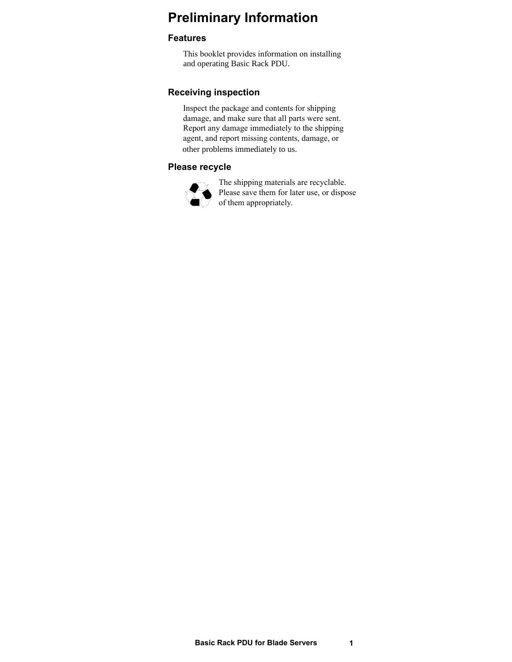## <span id="page-2-0"></span>**Preliminary Information**

## <span id="page-2-1"></span>**Features**

This booklet provides information on installing and operating Basic Rack PDU.

## <span id="page-2-2"></span>**Receiving inspection**

Inspect the package and contents for shipping damage, and make sure that all parts were sent. Report any damage immediately to the shipping agent, and report missing contents, damage, or other problems immediately to us.

## <span id="page-2-3"></span>**Please recycle**



The shipping materials are recyclable. Please save them for later use, or dispose of them appropriately.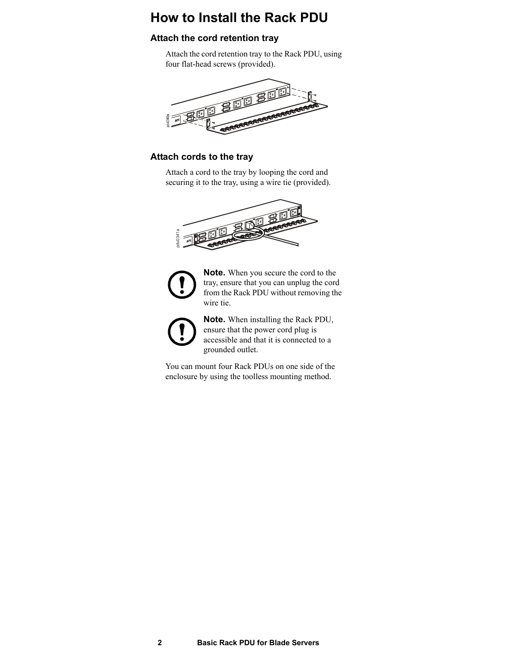## <span id="page-3-0"></span>**How to Install the Rack PDU**

## <span id="page-3-1"></span>**Attach the cord retention tray**

Attach the cord retention tray to the Rack PDU, using four flat-head screws (provided).



## <span id="page-3-2"></span>**Attach cords to the tray**

Attach a cord to the tray by looping the cord and securing it to the tray, using a wire tie (provided).





**Note.** When you secure the cord to the tray, ensure that you can unplug the cord from the Rack PDU without removing the wire tie. **Enclose the toolles mount of the toolless mounting**<br> **encoded**<br> **Consider the toolless mount of the toolless mount four Rack PDU without removing<br>
wire tie.<br>
<b>Consider the toolless mount four Rack PDUs** on one side of the



**Note.** When installing the Rack PDU, ensure that the power cord plug is accessible and that it is connected to a grounded outlet.

You can mount four Rack PDUs on one side of the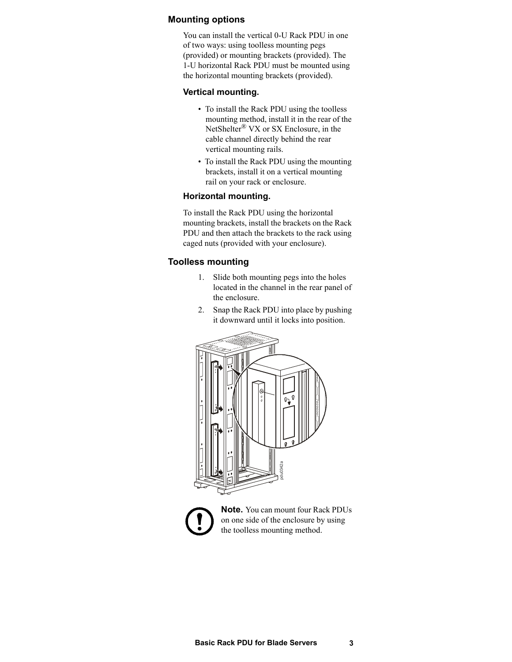## <span id="page-4-0"></span>**Mounting options**

You can install the vertical 0-U Rack PDU in one of two ways: using toolless mounting pegs (provided) or mounting brackets (provided). The 1-U horizontal Rack PDU must be mounted using the horizontal mounting brackets (provided).

### **Vertical mounting.**

- To install the Rack PDU using the toolless mounting method, install it in the rear of the NetShelter® VX or SX Enclosure, in the cable channel directly behind the rear vertical mounting rails.
- To install the Rack PDU using the mounting brackets, install it on a vertical mounting rail on your rack or enclosure.

#### **Horizontal mounting.**

To install the Rack PDU using the horizontal mounting brackets, install the brackets on the Rack PDU and then attach the brackets to the rack using caged nuts (provided with your enclosure).

### <span id="page-4-1"></span>**Toolless mounting**

- 1. Slide both mounting pegs into the holes located in the channel in the rear panel of the enclosure.
- 2. Snap the Rack PDU into place by pushing it downward until it locks into position.





**Note.** You can mount four Rack PDUs on one side of the enclosure by using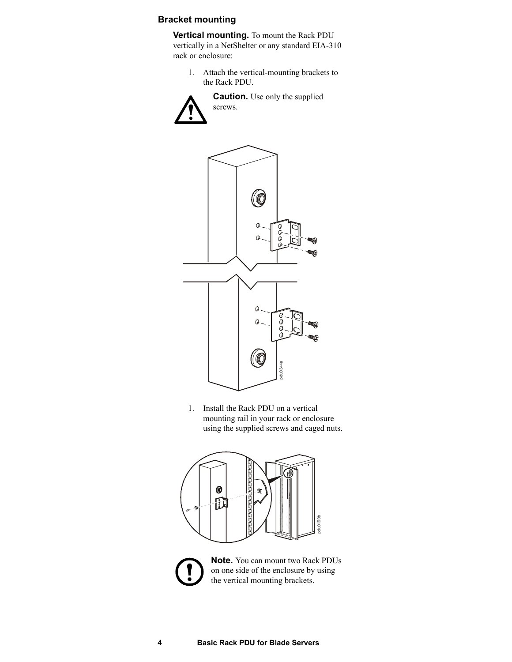## <span id="page-5-0"></span>**Bracket mounting**

**Vertical mounting.** To mount the Rack PDU vertically in a NetShelter or any standard EIA-310 rack or enclosure:

1. Attach the vertical-mounting brackets to the Rack PDU.

> **Caution.** Use only the supplied screws.



1. Install the Rack PDU on a vertical mounting rail in your rack or enclosure using the supplied screws and caged nuts.



**Note.** You can mount two Rack PDUs on one side of the enclosure by using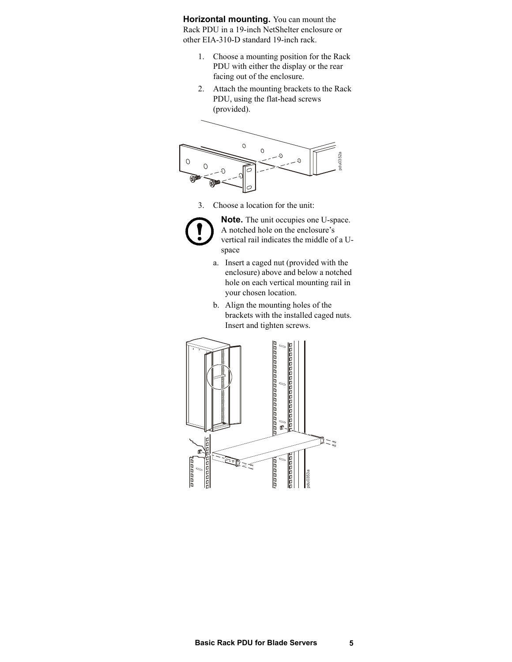**Horizontal mounting.** You can mount the Rack PDU in a 19-inch NetShelter enclosure or other EIA-310-D standard 19-inch rack.

- 1. Choose a mounting position for the Rack PDU with either the display or the rear facing out of the enclosure.
- 2. Attach the mounting brackets to the Rack PDU, using the flat-head screws (provided).



3. Choose a location for the unit:



**Note.** The unit occupies one U-space. A notched hole on the enclosure's vertical rail indicates the middle of a Uspace

- a. Insert a caged nut (provided with the enclosure) above and below a notched hole on each vertical mounting rail in your chosen location.
- b. Align the mounting holes of the brackets with the installed caged nuts. Insert and tighten screws.